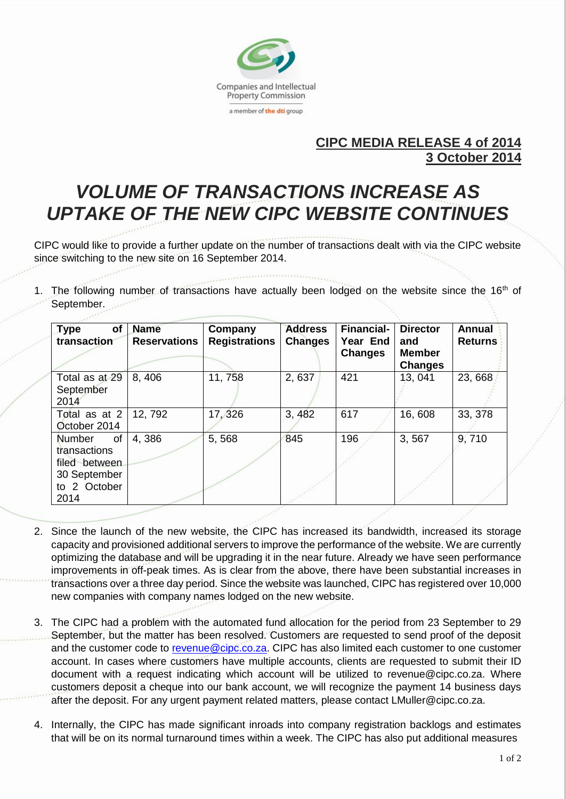

## **CIPC MEDIA RELEASE 4 of 2014 3 October 2014**

## *VOLUME OF TRANSACTIONS INCREASE AS UPTAKE OF THE NEW CIPC WEBSITE CONTINUES*

CIPC would like to provide a further update on the number of transactions dealt with via the CIPC website since switching to the new site on 16 September 2014.

The following number of transactions have actually been lodged on the website since the 16<sup>th</sup> of September.

| of<br><b>Type</b><br>transaction                                                                    | <b>Name</b><br><b>Reservations</b> | Company<br><b>Registrations</b> | <b>Address</b><br><b>Changes</b> | <b>Financial-</b><br>Year End<br><b>Changes</b> | <b>Director</b><br>and<br><b>Member</b><br><b>Changes</b> | <b>Annual</b><br><b>Returns</b> |
|-----------------------------------------------------------------------------------------------------|------------------------------------|---------------------------------|----------------------------------|-------------------------------------------------|-----------------------------------------------------------|---------------------------------|
| Total as at 29<br>September<br>2014                                                                 | 8,406                              | 11,758                          | 2,637                            | 421                                             | 13, 041                                                   | 23,668                          |
| Total as at 2<br>October 2014                                                                       | 12, 792                            | 17,326                          | 3, 482                           | 617                                             | 16,608                                                    | 33, 378                         |
| <b>Number</b><br><b>of</b><br>transactions<br>filed between<br>30 September<br>to 2 October<br>2014 | 4,386                              | 5,568                           | 845                              | 196                                             | 3,567                                                     | 9,710                           |

- 2. Since the launch of the new website, the CIPC has increased its bandwidth, increased its storage capacity and provisioned additional servers to improve the performance of the website. We are currently optimizing the database and will be upgrading it in the near future. Already we have seen performance improvements in off-peak times. As is clear from the above, there have been substantial increases in transactions over a three day period. Since the website was launched, CIPC has registered over 10,000 new companies with company names lodged on the new website.
- 3. The CIPC had a problem with the automated fund allocation for the period from 23 September to 29 September, but the matter has been resolved. Customers are requested to send proof of the deposit and the customer code to [revenue@cipc.co.za.](mailto:revenue@cipc.co.za) CIPC has also limited each customer to one customer account. In cases where customers have multiple accounts, clients are requested to submit their ID document with a request indicating which account will be utilized to revenue@cipc.co.za. Where customers deposit a cheque into our bank account, we will recognize the payment 14 business days after the deposit. For any urgent payment related matters, please contact LMuller@cipc.co.za.
- 4. Internally, the CIPC has made significant inroads into company registration backlogs and estimates that will be on its normal turnaround times within a week. The CIPC has also put additional measures